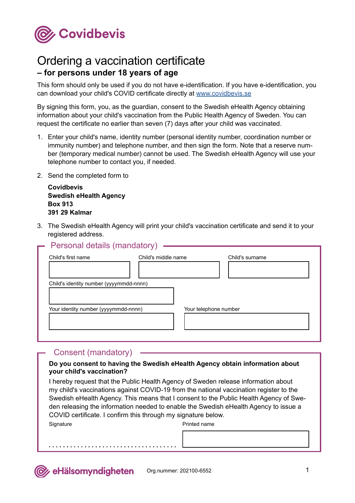

## Ordering a vaccination certificate **– for persons under 18 years of age**

This form should only be used if you do not have e-identification. If you have e-identification, you can download your child's COVID certificate directly at [www.covidbevis.se](https://covidbevis.se/)

By signing this form, you, as the guardian, consent to the Swedish eHealth Agency obtaining information about your child's vaccination from the Public Health Agency of Sweden. You can request the certificate no earlier than seven (7) days after your child was vaccinated.

- 1. Enter your child's name, identity number (personal identity number, coordination number or immunity number) and telephone number, and then sign the form. Note that a reserve number (temporary medical number) cannot be used. The Swedish eHealth Agency will use your telephone number to contact you, if needed.
- 2. Send the completed form to

**Covidbevis Swedish eHealth Agency Box 913 391 29 Kalmar**

3. The Swedish eHealth Agency will print your child's vaccination certificate and send it to your registered address.

| Child's first name                      | Child's middle name |  | Child's surname       |  |  |
|-----------------------------------------|---------------------|--|-----------------------|--|--|
|                                         |                     |  |                       |  |  |
| Child's identity number (yyyymmdd-nnnn) |                     |  |                       |  |  |
| Your identity number (yyyymmdd-nnnn)    |                     |  | Your telephone number |  |  |
|                                         |                     |  |                       |  |  |

## Consent (mandatory)

## **Do you consent to having the Swedish eHealth Agency obtain information about your child's vaccination?**

I hereby request that the Public Health Agency of Sweden release information about my child's vaccinations against COVID-19 from the national vaccination register to the Swedish eHealth Agency. This means that I consent to the Public Health Agency of Sweden releasing the information needed to enable the Swedish eHealth Agency to issue a COVID certificate. I confirm this through my signature below.

**Signature** 

Printed name